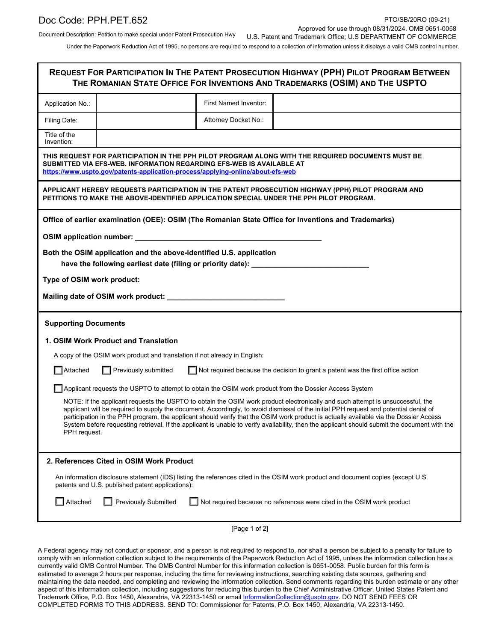Document Description: Petition to make special under Patent Prosecution Hwy

Under the Paperwork Reduction Act of 1995, no persons are required to respond to a collection of information unless it displays a valid OMB control number.

| <b>REQUEST FOR PARTICIPATION IN THE PATENT PROSECUTION HIGHWAY (PPH) PILOT PROGRAM BETWEEN</b><br>THE ROMANIAN STATE OFFICE FOR INVENTIONS AND TRADEMARKS (OSIM) AND THE USPTO                                                                                                                                                                                                                                                                                                                                                                                                    |                                                                                                                                             |                       |                                                                                                     |  |  |  |  |
|-----------------------------------------------------------------------------------------------------------------------------------------------------------------------------------------------------------------------------------------------------------------------------------------------------------------------------------------------------------------------------------------------------------------------------------------------------------------------------------------------------------------------------------------------------------------------------------|---------------------------------------------------------------------------------------------------------------------------------------------|-----------------------|-----------------------------------------------------------------------------------------------------|--|--|--|--|
| Application No.:                                                                                                                                                                                                                                                                                                                                                                                                                                                                                                                                                                  |                                                                                                                                             | First Named Inventor: |                                                                                                     |  |  |  |  |
| Filing Date:                                                                                                                                                                                                                                                                                                                                                                                                                                                                                                                                                                      |                                                                                                                                             | Attorney Docket No.:  |                                                                                                     |  |  |  |  |
| Title of the<br>Invention:                                                                                                                                                                                                                                                                                                                                                                                                                                                                                                                                                        |                                                                                                                                             |                       |                                                                                                     |  |  |  |  |
| THIS REQUEST FOR PARTICIPATION IN THE PPH PILOT PROGRAM ALONG WITH THE REQUIRED DOCUMENTS MUST BE<br>SUBMITTED VIA EFS-WEB. INFORMATION REGARDING EFS-WEB IS AVAILABLE AT<br>https://www.uspto.gov/patents-application-process/applying-online/about-efs-web                                                                                                                                                                                                                                                                                                                      |                                                                                                                                             |                       |                                                                                                     |  |  |  |  |
| APPLICANT HEREBY REQUESTS PARTICIPATION IN THE PATENT PROSECUTION HIGHWAY (PPH) PILOT PROGRAM AND<br>PETITIONS TO MAKE THE ABOVE-IDENTIFIED APPLICATION SPECIAL UNDER THE PPH PILOT PROGRAM.                                                                                                                                                                                                                                                                                                                                                                                      |                                                                                                                                             |                       |                                                                                                     |  |  |  |  |
|                                                                                                                                                                                                                                                                                                                                                                                                                                                                                                                                                                                   |                                                                                                                                             |                       | Office of earlier examination (OEE): OSIM (The Romanian State Office for Inventions and Trademarks) |  |  |  |  |
| OSIM application number:                                                                                                                                                                                                                                                                                                                                                                                                                                                                                                                                                          |                                                                                                                                             |                       |                                                                                                     |  |  |  |  |
|                                                                                                                                                                                                                                                                                                                                                                                                                                                                                                                                                                                   | Both the OSIM application and the above-identified U.S. application<br>have the following earliest date (filing or priority date): ________ |                       |                                                                                                     |  |  |  |  |
| Type of OSIM work product:                                                                                                                                                                                                                                                                                                                                                                                                                                                                                                                                                        |                                                                                                                                             |                       |                                                                                                     |  |  |  |  |
|                                                                                                                                                                                                                                                                                                                                                                                                                                                                                                                                                                                   |                                                                                                                                             |                       |                                                                                                     |  |  |  |  |
| <b>Supporting Documents</b>                                                                                                                                                                                                                                                                                                                                                                                                                                                                                                                                                       |                                                                                                                                             |                       |                                                                                                     |  |  |  |  |
|                                                                                                                                                                                                                                                                                                                                                                                                                                                                                                                                                                                   | 1. OSIM Work Product and Translation                                                                                                        |                       |                                                                                                     |  |  |  |  |
|                                                                                                                                                                                                                                                                                                                                                                                                                                                                                                                                                                                   | A copy of the OSIM work product and translation if not already in English:                                                                  |                       |                                                                                                     |  |  |  |  |
| $\Box$ Attached                                                                                                                                                                                                                                                                                                                                                                                                                                                                                                                                                                   | Not required because the decision to grant a patent was the first office action<br>$\Box$ Previously submitted                              |                       |                                                                                                     |  |  |  |  |
|                                                                                                                                                                                                                                                                                                                                                                                                                                                                                                                                                                                   | Applicant requests the USPTO to attempt to obtain the OSIM work product from the Dossier Access System                                      |                       |                                                                                                     |  |  |  |  |
| NOTE: If the applicant requests the USPTO to obtain the OSIM work product electronically and such attempt is unsuccessful, the<br>applicant will be required to supply the document. Accordingly, to avoid dismissal of the initial PPH request and potential denial of<br>participation in the PPH program, the applicant should verify that the OSIM work product is actually available via the Dossier Access<br>System before requesting retrieval. If the applicant is unable to verify availability, then the applicant should submit the document with the<br>PPH request. |                                                                                                                                             |                       |                                                                                                     |  |  |  |  |
| 2. References Cited in OSIM Work Product                                                                                                                                                                                                                                                                                                                                                                                                                                                                                                                                          |                                                                                                                                             |                       |                                                                                                     |  |  |  |  |
| An information disclosure statement (IDS) listing the references cited in the OSIM work product and document copies (except U.S.<br>patents and U.S. published patent applications):                                                                                                                                                                                                                                                                                                                                                                                              |                                                                                                                                             |                       |                                                                                                     |  |  |  |  |
| Attached                                                                                                                                                                                                                                                                                                                                                                                                                                                                                                                                                                          | <b>Previously Submitted</b>                                                                                                                 |                       | Not required because no references were cited in the OSIM work product                              |  |  |  |  |
|                                                                                                                                                                                                                                                                                                                                                                                                                                                                                                                                                                                   |                                                                                                                                             |                       |                                                                                                     |  |  |  |  |

A Federal agency may not conduct or sponsor, and a person is not required to respond to, nor shall a person be subject to a penalty for failure to comply with an information collection subject to the requirements of the Paperwork Reduction Act of 1995, unless the information collection has a currently valid OMB Control Number. The OMB Control Number for this information collection is 0651-0058. Public burden for this form is estimated to average 2 hours per response, including the time for reviewing instructions, searching existing data sources, gathering and maintaining the data needed, and completing and reviewing the information collection. Send comments regarding this burden estimate or any other aspect of this information collection, including suggestions for reducing this burden to the Chief Administrative Officer, United States Patent and Trademark Office, P.O. Box 1450, Alexandria, VA 22313-1450 or email InformationCollection@uspto.gov. DO NOT SEND FEES OR COMPLETED FORMS TO THIS ADDRESS. SEND TO: Commissioner for Patents, P.O. Box 1450, Alexandria, VA 22313-1450.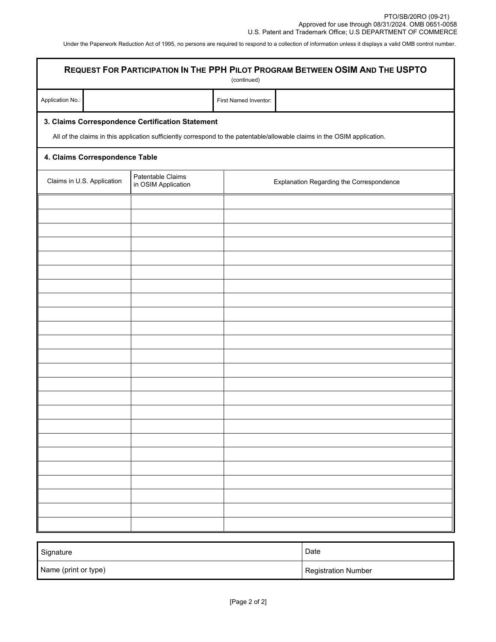Under the Paperwork Reduction Act of 1995, no persons are required to respond to a collection of information unless it displays a valid OMB control number.

| REQUEST FOR PARTICIPATION IN THE PPH PILOT PROGRAM BETWEEN OSIM AND THE USPTO<br>(continued) |                                          |                                                                                                                           |  |  |  |  |
|----------------------------------------------------------------------------------------------|------------------------------------------|---------------------------------------------------------------------------------------------------------------------------|--|--|--|--|
| Application No.:                                                                             |                                          | First Named Inventor:                                                                                                     |  |  |  |  |
| 3. Claims Correspondence Certification Statement                                             |                                          | All of the claims in this application sufficiently correspond to the patentable/allowable claims in the OSIM application. |  |  |  |  |
| 4. Claims Correspondence Table                                                               |                                          |                                                                                                                           |  |  |  |  |
| Claims in U.S. Application                                                                   | Patentable Claims<br>in OSIM Application | Explanation Regarding the Correspondence                                                                                  |  |  |  |  |
|                                                                                              |                                          |                                                                                                                           |  |  |  |  |
|                                                                                              |                                          |                                                                                                                           |  |  |  |  |
|                                                                                              |                                          |                                                                                                                           |  |  |  |  |
|                                                                                              |                                          |                                                                                                                           |  |  |  |  |
|                                                                                              |                                          |                                                                                                                           |  |  |  |  |
|                                                                                              |                                          |                                                                                                                           |  |  |  |  |
|                                                                                              |                                          |                                                                                                                           |  |  |  |  |
|                                                                                              |                                          |                                                                                                                           |  |  |  |  |
|                                                                                              |                                          |                                                                                                                           |  |  |  |  |
|                                                                                              |                                          |                                                                                                                           |  |  |  |  |
|                                                                                              |                                          |                                                                                                                           |  |  |  |  |
|                                                                                              |                                          |                                                                                                                           |  |  |  |  |
|                                                                                              |                                          |                                                                                                                           |  |  |  |  |
|                                                                                              |                                          |                                                                                                                           |  |  |  |  |
|                                                                                              |                                          |                                                                                                                           |  |  |  |  |
|                                                                                              |                                          |                                                                                                                           |  |  |  |  |
|                                                                                              |                                          |                                                                                                                           |  |  |  |  |

| Signature            | Date                |
|----------------------|---------------------|
| Name (print or type) | Registration Number |